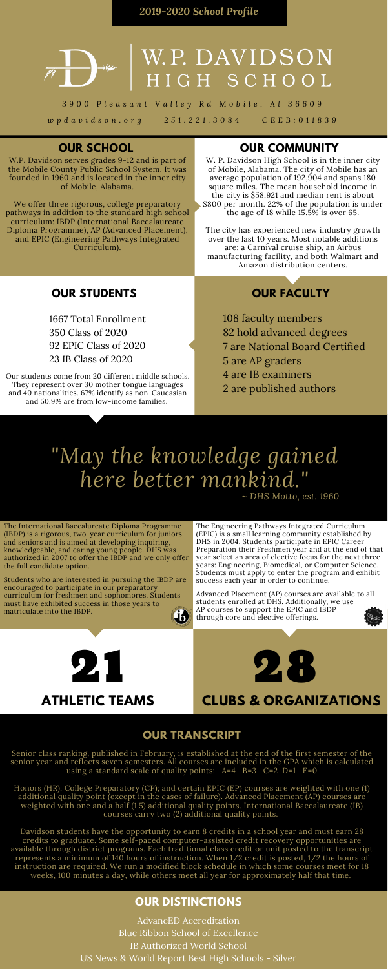*2019-2020 School Profile*



# W.P. DAVIDSON<br>HIGH SCHOOL

3900 Pleasant Valley Rd Mobile, Al 36609 wpdavidson.org 251.221.3084 CEEB:011839

# **OUR COMMUNITY**

W. P. Davidson High School is in the inner city of Mobile, Alabama. The city of Mobile has an average population of 192,904 and spans 180 square miles. The mean household income in the city is \$58,921 and median rent is about \$800 per month. 22% of the population is under the age of 18 while 15.5% is over 65.

The city has experienced new industry growth over the last 10 years. Most notable additions are: a Carnival cruise ship, an Airbus manufacturing facility, and both Walmart and Amazon distribution centers.

# **OUR SCHOOL**

W.P. Davidson serves grades 9-12 and is part of the Mobile County Public School System. It was founded in 1960 and is located in the inner city of Mobile, Alabama.

We offer three rigorous, college preparatory pathways in addition to the standard high school curriculum: IBDP (International Baccalaureate Diploma Programme), AP (Advanced Placement), and EPIC (Engineering Pathways Integrated Curriculum).

# **OUR STUDENTS**

Our students come from 20 different middle schools. They represent over 30 mother tongue languages and 40 nationalities. 67% identify as non-Caucasian and 50.9% are from low-income families.

Senior class ranking, published in February, is established at the end of the first semester of the senior year and reflects seven semesters. All courses are included in the GPA which is calculated using a standard scale of quality points:  $A=4$  B=3 C=2 D=1 E=0

# **OUR FACULTY**

# *"May the knowledge gained here better mankind."*



# **CLUBS & ORGANIZATIONS**

21 **ATHLETIC TEAMS** The Engineering Pathways Integrated Curriculum (EPIC) is a small learning community established by DHS in 2004. Students participate in EPIC Career Preparation their Freshmen year and at the end of that year select an area of elective focus for the next three years: Engineering, Biomedical, or Computer Science. Students must apply to enter the program and exhibit success each year in order to continue.

Advanced Placement (AP) courses are available to all students enrolled at DHS. Additionally, we use AP courses to support the EPIC and IBDP through core and elective offerings.



The International Baccalureate Diploma Programme (IBDP) is a rigorous, two-year curriculum for juniors and seniors and is aimed at developing inquiring, knowledgeable, and caring young people. DHS was authorized in 2007 to offer the IBDP and we only offer the full candidate option.

Students who are interested in pursuing the IBDP are

encouraged to participate in our preparatory curriculum for freshmen and sophomores. Students must have exhibited success in those years to matriculate into the IBDP.



## **OUR TRANSCRIPT**

Honors (HR); College Preparatory (CP); and certain EPIC (EP) courses are weighted with one (1) additional quality point (except in the cases of failure). Advanced Placement (AP) courses are weighted with one and a half (1.5) additional quality points. International Baccalaureate (IB) courses carry two (2) additional quality points.

Davidson students have the opportunity to earn 8 credits in a school year and must earn 28 credits to graduate. Some self-paced computer-assisted credit recovery opportunities are available through district programs. Each traditional class credit or unit posted to the transcript represents a minimum of 140 hours of instruction. When 1/2 credit is posted, 1/2 the hours of instruction are required. We run a modified block schedule in which some courses meet for 18 weeks, 100 minutes a day, while others meet all year for approximately half that time.

## **OUR DISTINCTIONS**

 faculty members hold advanced degrees are National Board Certified are AP graders are IB examiners are published authors

AdvancED Accreditation Blue Ribbon School of Excellence IB Authorized World School US News & World Report Best High Schools - Silver

 Total Enrollment Class of 2020 EPIC Class of 2020 IB Class of 2020

*~ DHS Motto, est. 1960*